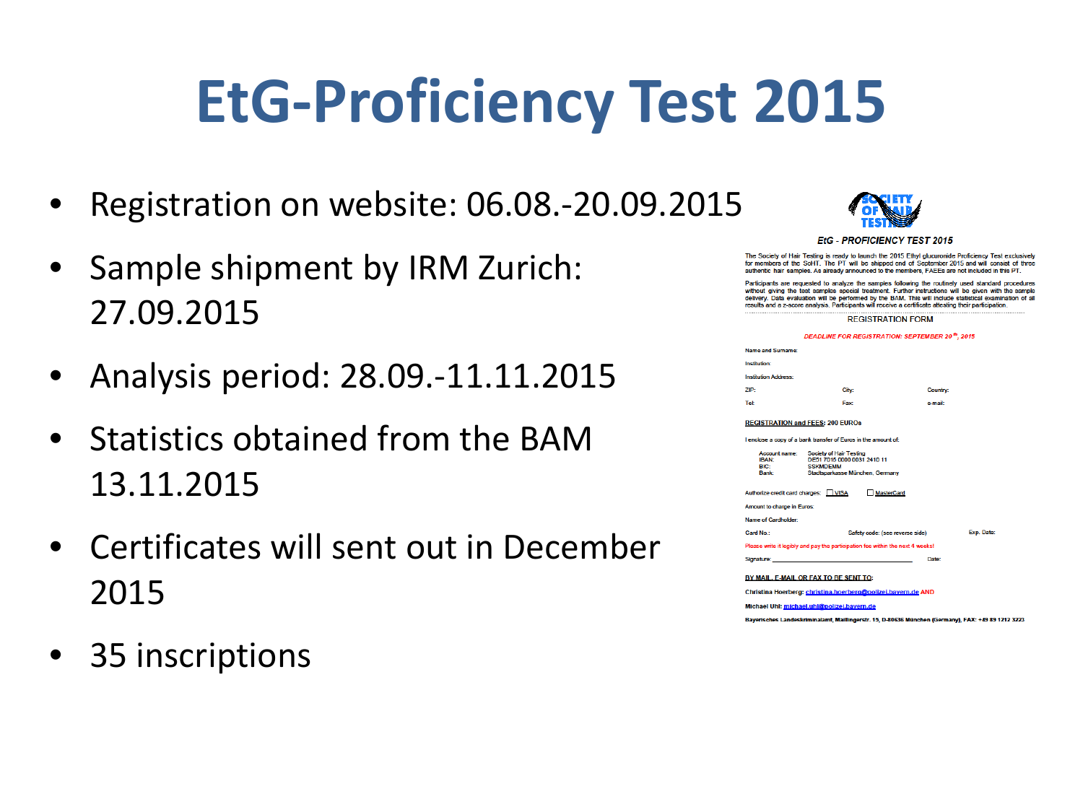## **EtG-Proficiency Test 2015**

- Registration on website: 06.08.-20.09.2015
- Sample shipment by IRM Zurich: 27.09.2015
- Analysis period: 28.09.-11.11.2015
- Statistics obtained from the BAM 13.11.2015
- Certificates will sent out in December 2015
- 35 inscriptions



#### **EtG - PROFICIENCY TEST 2015**

The Society of Hair Testing is ready to launch the 2015 Ethyl glucuronide Proficiency Test exclusively for members of the SoHT. The PT will be shipped end of September 2015 and will consist of three authentic hair samples. As already announced to the members, FAEEs are not included in this PT.

Participants are requested to analyze the samples following the routinely used standard procedures without giving the test samples special treatment. Further instructions will be given with the sample Data evaluation will be performed by the BAM. This will include statistical examination of all results and a z-score analysis. Participants will receive a certificate attesting their participation

**REGISTRATION FORM** 

**DEADLINE FOR REGISTRATION: SEPTEMBER 20<sup>th</sup>, 2015** 

| Name and Surname:           |       |          |
|-----------------------------|-------|----------|
| Institution:                |       |          |
| <b>Institution Address:</b> |       |          |
| ZIP:                        | City: | Country: |
| Tel:                        | Fax:  | e-mail:  |
|                             |       |          |

#### **REGISTRATION and FEES: 200 EUROs**

Autho **Amot** Name Card

Lenclose a copy of a bank transfer of Euros in the amount of

| Account name:<br><b>BAN-</b><br>aic∙<br>Bank: | Society of Hair Testing<br>DE51 7015 0000 0031 2410 11<br><b>SSKMDFMM</b><br>Stadtsparkasse München, Germany |  |
|-----------------------------------------------|--------------------------------------------------------------------------------------------------------------|--|
|                                               | rize credit card charges: VISA<br>MasterCard                                                                 |  |
| nt to charge in Euros:                        |                                                                                                              |  |
| of Cardholder:                                |                                                                                                              |  |
| No.:                                          | Safety code: (see reverse side)                                                                              |  |

|  |  | se write it legibly and pay the participation fee within the next 4 weeks! |  |  |
|--|--|----------------------------------------------------------------------------|--|--|
|  |  |                                                                            |  |  |

#### BY MAIL. E-MAIL OR FAX TO BE SENT TO:

Christina Hoerberg: christina.hoerberg@polizei.bavern.de AND

Michael Uhl: michael.uhl@polizei.bavern.de

Bayerisches Landeskriminalamt, Maillingerstr. 15, D-80636 München (Germany), FAX: +49 89 1212 3223

Exp. Date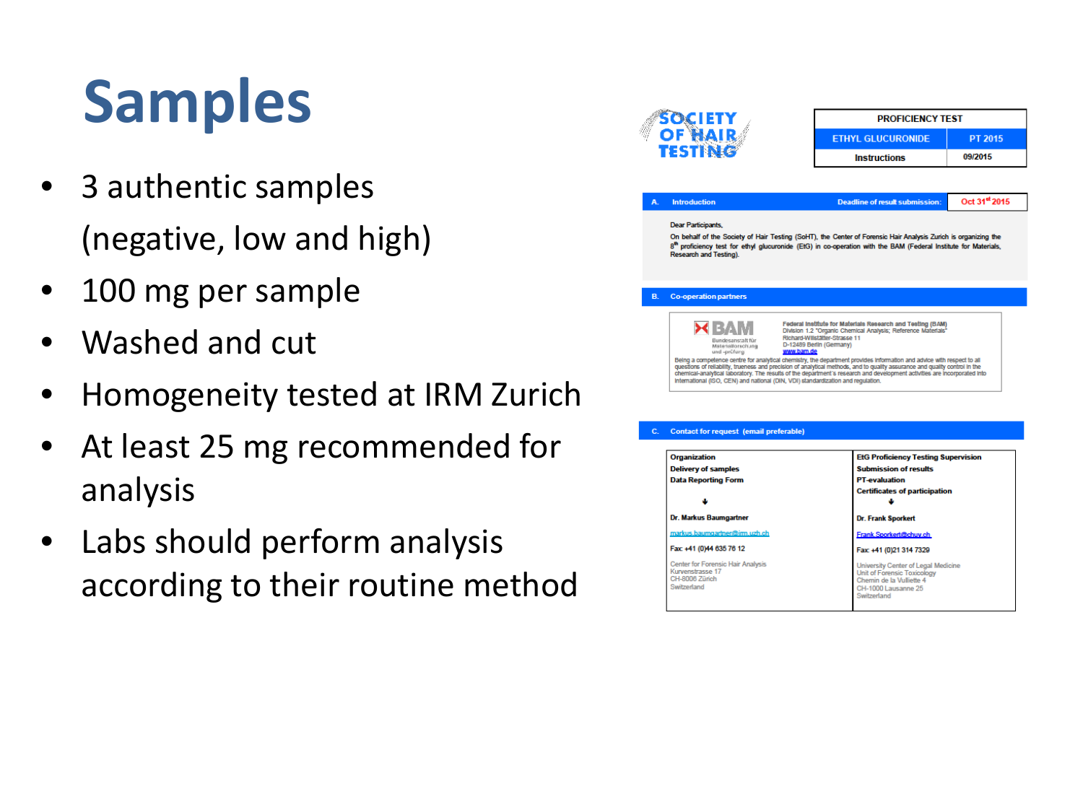# **Samples**

- 3 authentic samples (negative, low and high)
- 100 mg per sample
- Washed and cut
- Homogeneity tested at IRM Zurich
- At least 25 mg recommended for analysis
- Labs should perform analysis according to their routine method

|                                                                                                                                  | <b>PROFICIENCY TEST</b>                                                                                                                                                                                                                                                                                                                                                                                                                                        |                           |  |  |  |
|----------------------------------------------------------------------------------------------------------------------------------|----------------------------------------------------------------------------------------------------------------------------------------------------------------------------------------------------------------------------------------------------------------------------------------------------------------------------------------------------------------------------------------------------------------------------------------------------------------|---------------------------|--|--|--|
| SOCIE<br>OF HA                                                                                                                   | <b>ETHYL GLUCURONIDE</b>                                                                                                                                                                                                                                                                                                                                                                                                                                       | <b>PT 2015</b>            |  |  |  |
| TESTINE                                                                                                                          | <b>Instructions</b>                                                                                                                                                                                                                                                                                                                                                                                                                                            | 09/2015                   |  |  |  |
|                                                                                                                                  |                                                                                                                                                                                                                                                                                                                                                                                                                                                                |                           |  |  |  |
| <b>Introduction</b>                                                                                                              | <b>Deadline of result submission:</b>                                                                                                                                                                                                                                                                                                                                                                                                                          | Oct 31 <sup>st</sup> 2015 |  |  |  |
| <b>Dear Participants,</b>                                                                                                        |                                                                                                                                                                                                                                                                                                                                                                                                                                                                |                           |  |  |  |
| <b>Research and Testing).</b>                                                                                                    | 8th proficiency test for ethyl glucuronide (EtG) in co-operation with the BAM (Federal Institute for Materials,                                                                                                                                                                                                                                                                                                                                                |                           |  |  |  |
| <b>Co-operation partners</b>                                                                                                     |                                                                                                                                                                                                                                                                                                                                                                                                                                                                |                           |  |  |  |
| Bundesanstalt für                                                                                                                | Federal Institute for Materials Research and Testing (BAM)<br>Division 1.2 "Organic Chemical Analysis; Reference Materials"                                                                                                                                                                                                                                                                                                                                    |                           |  |  |  |
| Materialforschung<br>und -prüfung<br>International (ISO, CEN) and national (DIN, VDI) standardization and requiation.            | Richard-Willstätter-Strasse 11<br>D-12489 Berlin (Germany)<br>www.bam.de<br>Being a competence centre for analytical chemistry, the department provides information and advice with respect to all<br>questions of reliability, trueness and precision of analytical methods, and to quality assurance and quality control in the<br>chemical-analytical laboratory. The results of the department's research and development activities are incorporated into |                           |  |  |  |
|                                                                                                                                  |                                                                                                                                                                                                                                                                                                                                                                                                                                                                |                           |  |  |  |
|                                                                                                                                  | <b>EtG Proficiency Testing Supervision</b>                                                                                                                                                                                                                                                                                                                                                                                                                     |                           |  |  |  |
|                                                                                                                                  | <b>Submission of results</b>                                                                                                                                                                                                                                                                                                                                                                                                                                   |                           |  |  |  |
| <b>Contact for request (email preferable)</b><br><b>Organization</b><br><b>Delivery of samples</b><br><b>Data Reporting Form</b> | <b>PT-evaluation</b>                                                                                                                                                                                                                                                                                                                                                                                                                                           |                           |  |  |  |
|                                                                                                                                  | <b>Certificates of participation</b>                                                                                                                                                                                                                                                                                                                                                                                                                           |                           |  |  |  |
|                                                                                                                                  |                                                                                                                                                                                                                                                                                                                                                                                                                                                                |                           |  |  |  |
|                                                                                                                                  | <b>Dr. Frank Sporkert</b>                                                                                                                                                                                                                                                                                                                                                                                                                                      |                           |  |  |  |
| Dr. Markus Baumgartner<br>markus.baumgartner@irm.uzh.ch                                                                          | Frank.Sporkert@chuv.ch                                                                                                                                                                                                                                                                                                                                                                                                                                         |                           |  |  |  |
| Fax: +41 (0)44 635 76 12                                                                                                         | Fax: +41 (0)21 314 7329                                                                                                                                                                                                                                                                                                                                                                                                                                        |                           |  |  |  |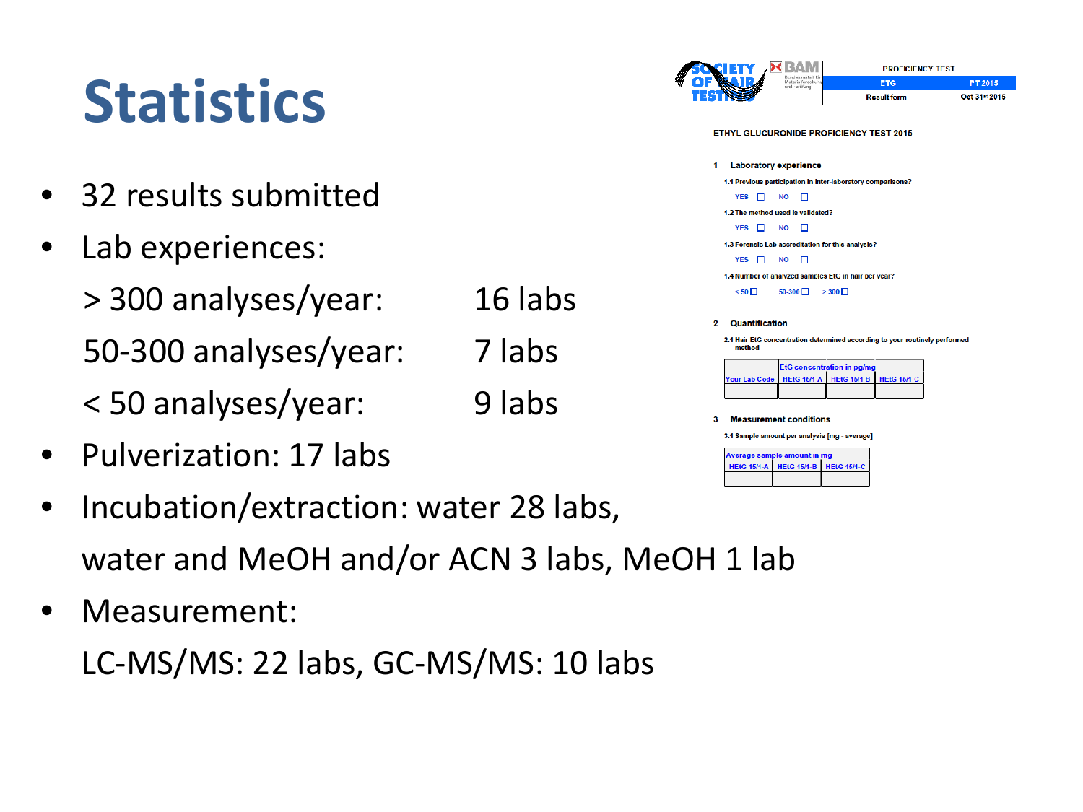## **Statistics**

- 32 results submitted
- Lab experiences:

> 300 analyses/year: 16 labs 50-300 analyses/year: 7 labs < 50 analyses/year: 9 labs

- Pulverization: 17 labs
- Incubation/extraction: water 28 labs, water and MeOH and/or ACN 3 labs, MeOH 1 lab
- Measurement:

LC-MS/MS: 22 labs, GC-MS/MS: 10 labs

|                                                                                       |                                                               | <b>PROFICIENCY TEST</b>           |                    |               |  |
|---------------------------------------------------------------------------------------|---------------------------------------------------------------|-----------------------------------|--------------------|---------------|--|
|                                                                                       | <b>Bundessnatalt</b> für<br>Materialforschung<br>und -prüfung |                                   | <b>ETG</b>         | PT 2015       |  |
|                                                                                       |                                                               |                                   | <b>Result form</b> | Oct 31st 2015 |  |
| <b>ETHYL GLUCURONIDE PROFICIENCY TEST 2015</b>                                        |                                                               |                                   |                    |               |  |
| Laboratory experience<br>1                                                            |                                                               |                                   |                    |               |  |
| 1.1 Previous participation in inter-laboratory comparisons?                           |                                                               |                                   |                    |               |  |
| <b>YES</b><br>п                                                                       | <b>NO</b><br>п                                                |                                   |                    |               |  |
| 1.2 The method used is validated?                                                     |                                                               |                                   |                    |               |  |
| $YES$ $\Box$                                                                          | <b>NO</b><br>п                                                |                                   |                    |               |  |
| 1.3 Forensic Lab accreditation for this analysis?                                     |                                                               |                                   |                    |               |  |
| $YES$ $\Box$                                                                          | NΟ<br>п                                                       |                                   |                    |               |  |
| 1.4 Number of analyzed samples EtG in hair per year?                                  |                                                               |                                   |                    |               |  |
| $< 50$ $\Box$                                                                         | $50-300$ $\Box$ > 300 $\Box$                                  |                                   |                    |               |  |
|                                                                                       |                                                               |                                   |                    |               |  |
| 2<br><b>Quantification</b>                                                            |                                                               |                                   |                    |               |  |
| 2.1 Hair EtG concentration determined according to your routinely performed<br>method |                                                               |                                   |                    |               |  |
|                                                                                       |                                                               | <b>EtG concentration in pg/mg</b> |                    |               |  |
|                                                                                       |                                                               |                                   |                    |               |  |
| <b>Your Lab Code</b>                                                                  | <b>HEtG 15/1-A</b>                                            | <b>HEtG 15/1-B</b>                | <b>HEtG 15/1-C</b> |               |  |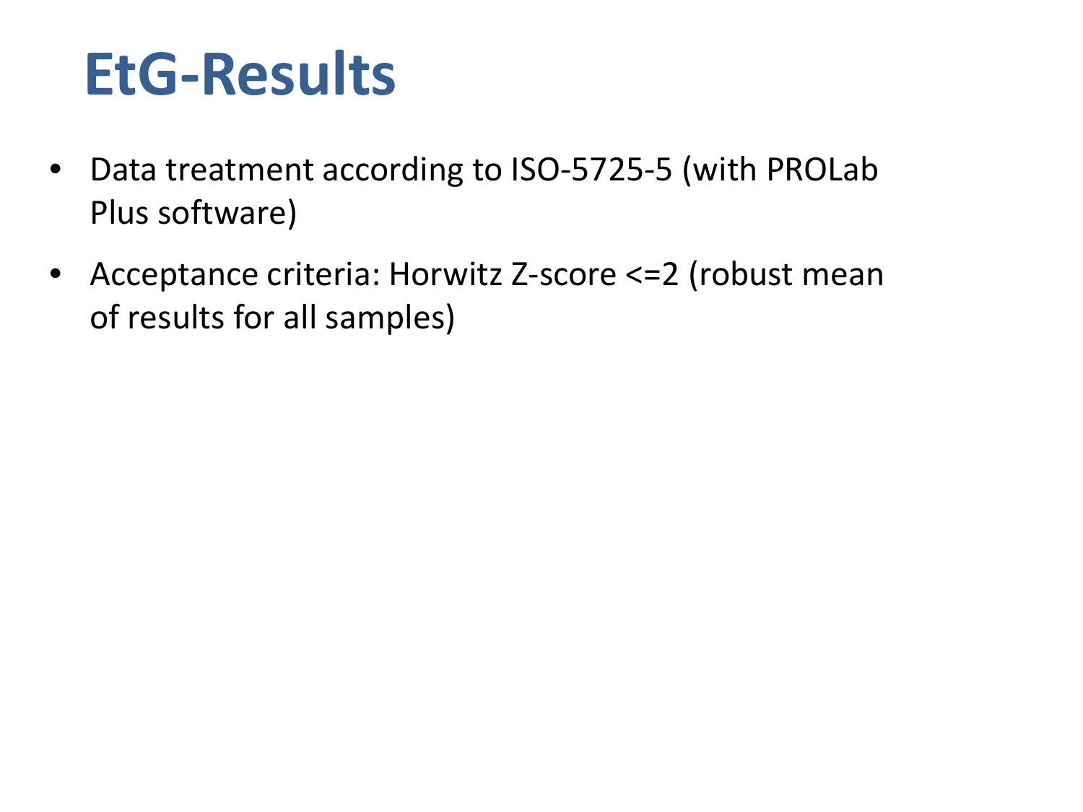## **EtG-Results**

- Data treatment according to ISO-5725-5 (with PROLab Plus software)
- Acceptance criteria: Horwitz Z-score <= 2 (robust mean of results for all samples)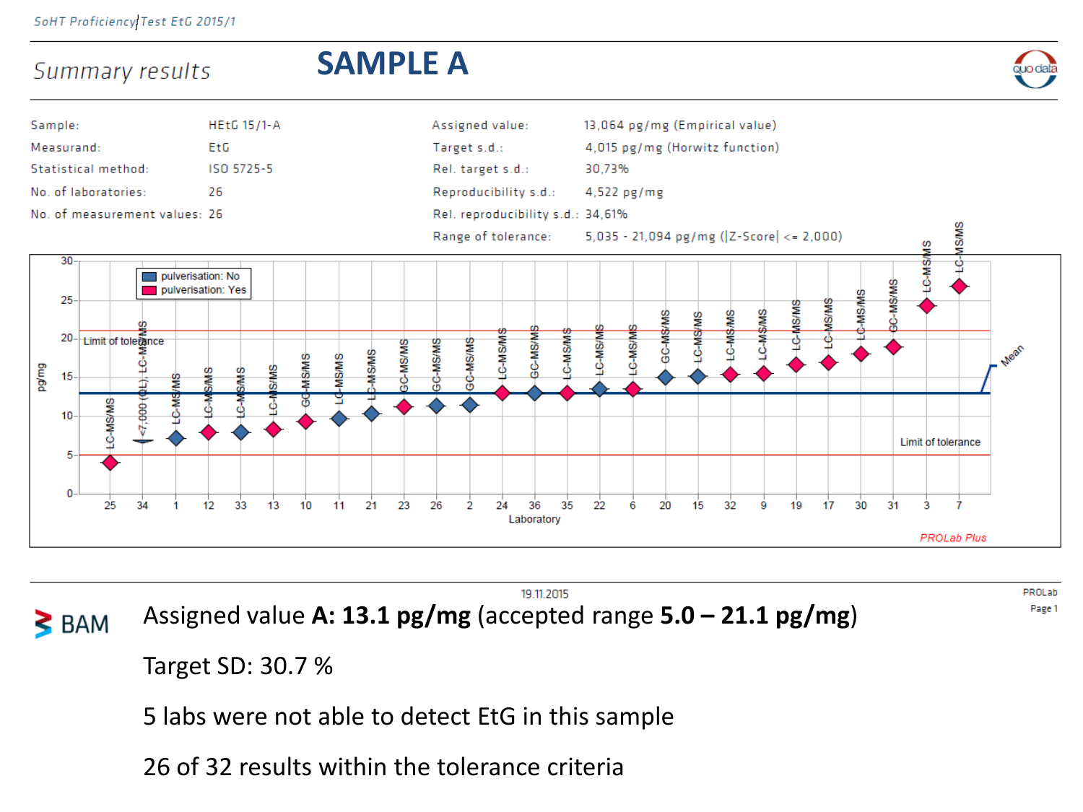Summary results

### **SAMPLE A**





19.11.2015 Assigned value **A: 13.1 pg/mg** (accepted range **5.0 – 21.1 pg/mg**)  $\geq$  BAM

PROLab Page 1

Target SD: 30.7 %

5 labs were not able to detect EtG in this sample

26 of 32 results within the tolerance criteria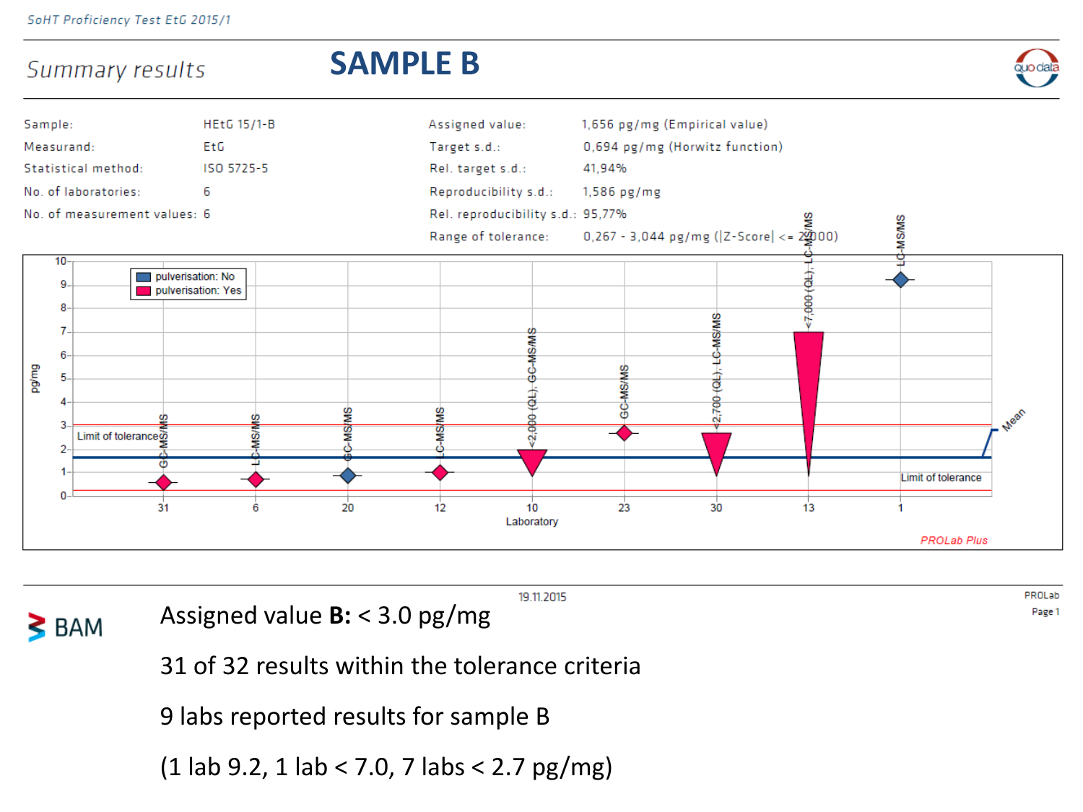

19.11.2015

 $\geq$  BAM

Assigned value **B:** < 3.0 pg/mg

PROLab Page 1

31 of 32 results within the tolerance criteria

9 labs reported results for sample B

(1 lab 9.2, 1 lab < 7.0, 7 labs < 2.7 pg/mg)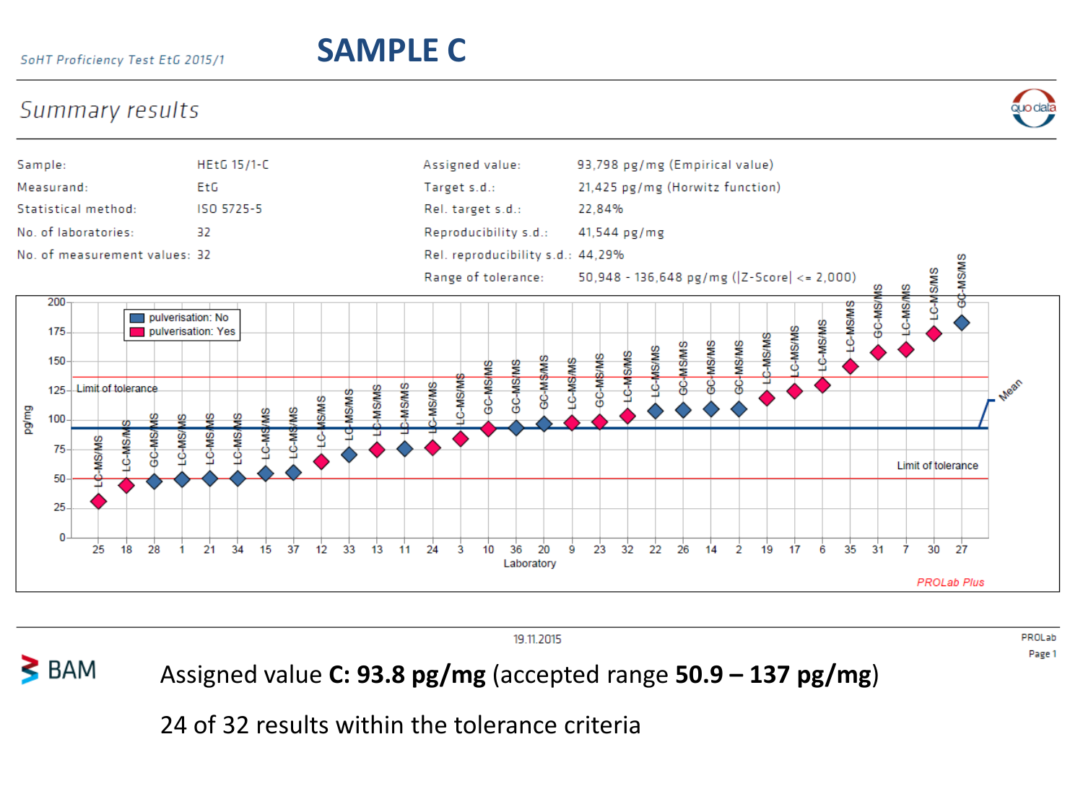### SoHT Proficiency Test EtG 2015/1

### **SAMPLE C**

### Summary results





19.11.2015

PROLab Page 1

### $\geq$  BAM Assigned value **C: 93.8 pg/mg** (accepted range **50.9 – 137 pg/mg**)

24 of 32 results within the tolerance criteria